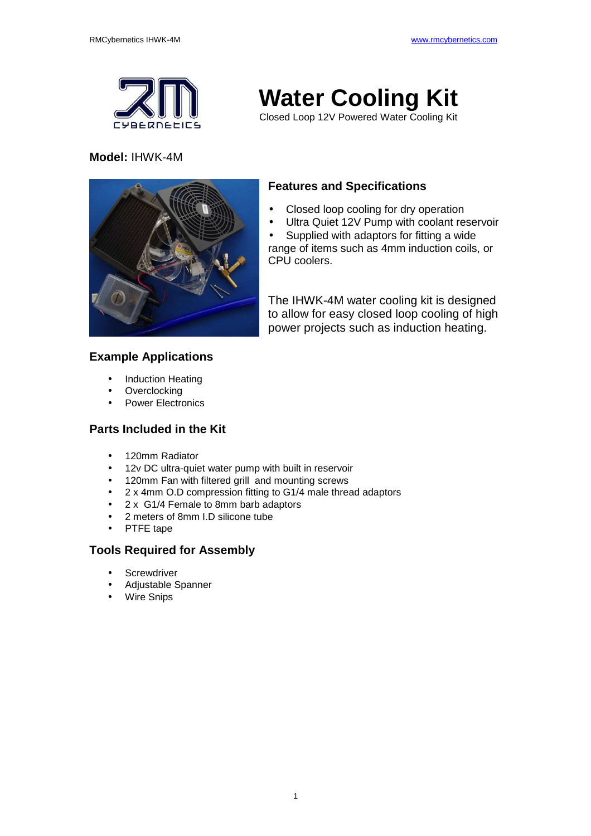

### **Model:** IHWK-4M



• Closed loop cooling for dry operation

**Water Cooling Kit**  Closed Loop 12V Powered Water Cooling Kit

Ultra Quiet 12V Pump with coolant reservoir

• Supplied with adaptors for fitting a wide range of items such as 4mm induction coils, or CPU coolers.

The IHWK-4M water cooling kit is designed to allow for easy closed loop cooling of high power projects such as induction heating.

## **Example Applications**

- Induction Heating
- **Overclocking**
- Power Electronics

# **Parts Included in the Kit**

- 120mm Radiator
- 12v DC ultra-quiet water pump with built in reservoir
- 120mm Fan with filtered grill and mounting screws
- 2 x 4mm O.D compression fitting to G1/4 male thread adaptors
- 2 x G1/4 Female to 8mm barb adaptors
- 2 meters of 8mm I.D silicone tube
- PTFE tape

# **Tools Required for Assembly**

- **Screwdriver**
- Adjustable Spanner
- Wire Snips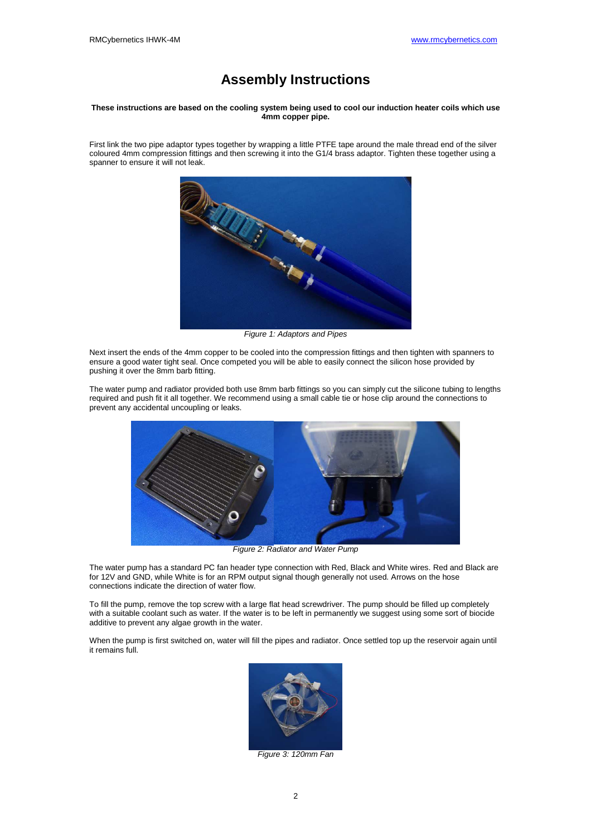# **Assembly Instructions**

#### **These instructions are based on the cooling system being used to cool our induction heater coils which use 4mm copper pipe.**

First link the two pipe adaptor types together by wrapping a little PTFE tape around the male thread end of the silver coloured 4mm compression fittings and then screwing it into the G1/4 brass adaptor. Tighten these together using a spanner to ensure it will not leak.



Figure 1: Adaptors and Pipes

Next insert the ends of the 4mm copper to be cooled into the compression fittings and then tighten with spanners to ensure a good water tight seal. Once competed you will be able to easily connect the silicon hose provided by pushing it over the 8mm barb fitting.

The water pump and radiator provided both use 8mm barb fittings so you can simply cut the silicone tubing to lengths required and push fit it all together. We recommend using a small cable tie or hose clip around the connections to prevent any accidental uncoupling or leaks.



Figure 2: Radiator and Water Pump

The water pump has a standard PC fan header type connection with Red, Black and White wires. Red and Black are for 12V and GND, while White is for an RPM output signal though generally not used. Arrows on the hose connections indicate the direction of water flow.

To fill the pump, remove the top screw with a large flat head screwdriver. The pump should be filled up completely with a suitable coolant such as water. If the water is to be left in permanently we suggest using some sort of biocide additive to prevent any algae growth in the water.

When the pump is first switched on, water will fill the pipes and radiator. Once settled top up the reservoir again until it remains full.



Figure 3: 120mm Fan